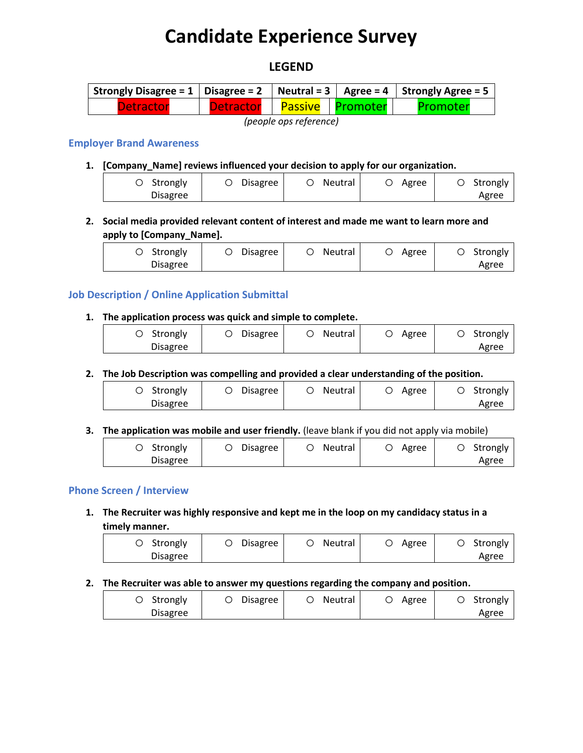# **Candidate Experience Survey**

# **LEGEND**

| Strongly Disagree = $1 \mid$ Disagree = $2 \mid$ Neutral = $3 \mid$ Agree = $4 \mid$ Strongly Agree = $5 \mid$ |                            |  |  |          |  |
|----------------------------------------------------------------------------------------------------------------|----------------------------|--|--|----------|--|
| <b>Detractor</b>                                                                                               | Detractor Passive Promoter |  |  | Promoter |  |
|                                                                                                                |                            |  |  |          |  |

*(people ops reference)*

# **Employer Brand Awareness**

**1. [Company\_Name] reviews influenced your decision to apply for our organization.**

| O Strongly      | <b>Disagree</b> | Neutral | Agree | Strongly |
|-----------------|-----------------|---------|-------|----------|
| <b>Disagree</b> |                 |         |       | Agree    |

**2. Social media provided relevant content of interest and made me want to learn more and apply to [Company\_Name].**

| Strongly | <b>Disagree</b> | Neutral | Agree | Strongly |
|----------|-----------------|---------|-------|----------|
| Disagree |                 |         |       | Agree    |

# **Job Description / Online Application Submittal**

#### **1. The application process was quick and simple to complete.**

| Strongly        | Disagree | Neutral | Agree | Strongly |
|-----------------|----------|---------|-------|----------|
| <b>Disagree</b> |          |         |       | Agree    |

# **2. The Job Description was compelling and provided a clear understanding of the position.**

| Strongly | Disagree | Neutral | Agree | Strongly |
|----------|----------|---------|-------|----------|
| Disagree |          |         |       | Agree    |

#### **3. The application was mobile and user friendly.** (leave blank if you did not apply via mobile)

| Strongly<br><b>Disagree</b> | Disagree | Neutral | Agree | Strongly<br>Agree |
|-----------------------------|----------|---------|-------|-------------------|
|-----------------------------|----------|---------|-------|-------------------|

#### **Phone Screen / Interview**

**1. The Recruiter was highly responsive and kept me in the loop on my candidacy status in a timely manner.**

| Disagree<br>Neutral<br>Strongly | Agree | Strongly |
|---------------------------------|-------|----------|
| <b>Disagree</b>                 |       | Agree    |

#### **2. The Recruiter was able to answer my questions regarding the company and position.**

| Strongly | Disagree | Neutral | Agree | Strongly |
|----------|----------|---------|-------|----------|
| Disagree |          |         |       | Agree    |